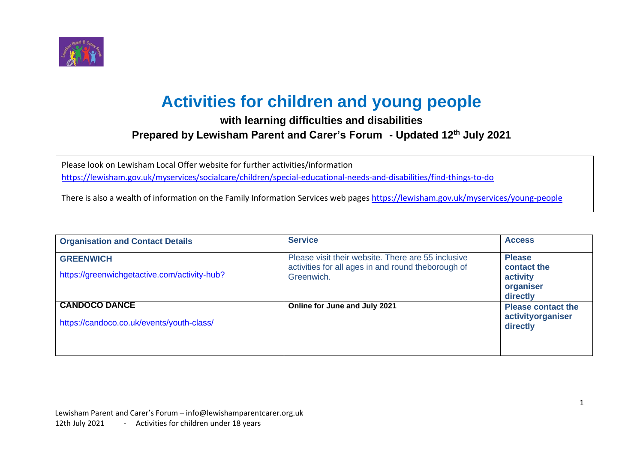

## **Activities for children and young people**

## **with learning difficulties and disabilities Prepared by Lewisham Parent and Carer's Forum - Updated 12th July 2021**

Please look on Lewisham Local Offer website for further activities/information

<https://lewisham.gov.uk/myservices/socialcare/children/special-educational-needs-and-disabilities/find-things-to-do>

There is also a wealth of information on the Family Information Services web pages <https://lewisham.gov.uk/myservices/young-people>

| <b>Organisation and Contact Details</b>                           | <b>Service</b>                                                                                                         | <b>Access</b>                                                     |
|-------------------------------------------------------------------|------------------------------------------------------------------------------------------------------------------------|-------------------------------------------------------------------|
| <b>GREENWICH</b><br>https://greenwichgetactive.com/activity-hub?  | Please visit their website. There are 55 inclusive<br>activities for all ages in and round theborough of<br>Greenwich. | <b>Please</b><br>contact the<br>activity<br>organiser<br>directly |
| <b>CANDOCO DANCE</b><br>https://candoco.co.uk/events/youth-class/ | Online for June and July 2021                                                                                          | <b>Please contact the</b><br>activityorganiser<br>directly        |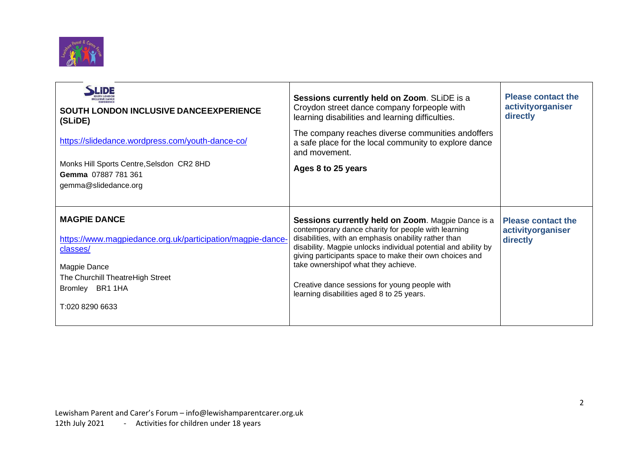

| LiDE<br><b>SOUTH LONDON INCLUSIVE DANCEEXPERIENCE</b><br>(SLIDE)<br>https://slidedance.wordpress.com/youth-dance-co/<br>Monks Hill Sports Centre, Selsdon CR2 8HD<br>Gemma 07887 781 361<br>gemma@slidedance.org | Sessions currently held on Zoom. SLIDE is a<br>Croydon street dance company forpeople with<br>learning disabilities and learning difficulties.<br>The company reaches diverse communities and offers<br>a safe place for the local community to explore dance<br>and movement.<br>Ages 8 to 25 years                                                                                                                                | <b>Please contact the</b><br>activityorganiser<br>directly |
|------------------------------------------------------------------------------------------------------------------------------------------------------------------------------------------------------------------|-------------------------------------------------------------------------------------------------------------------------------------------------------------------------------------------------------------------------------------------------------------------------------------------------------------------------------------------------------------------------------------------------------------------------------------|------------------------------------------------------------|
| <b>MAGPIE DANCE</b><br>https://www.magpiedance.org.uk/participation/magpie-dance-<br>classes/<br>Magpie Dance<br>The Churchill TheatreHigh Street<br>Bromley BR1 1HA<br>T:020 8290 6633                          | Sessions currently held on Zoom. Magpie Dance is a<br>contemporary dance charity for people with learning<br>disabilities, with an emphasis onability rather than<br>disability. Magpie unlocks individual potential and ability by<br>giving participants space to make their own choices and<br>take ownershipof what they achieve.<br>Creative dance sessions for young people with<br>learning disabilities aged 8 to 25 years. | <b>Please contact the</b><br>activityorganiser<br>directly |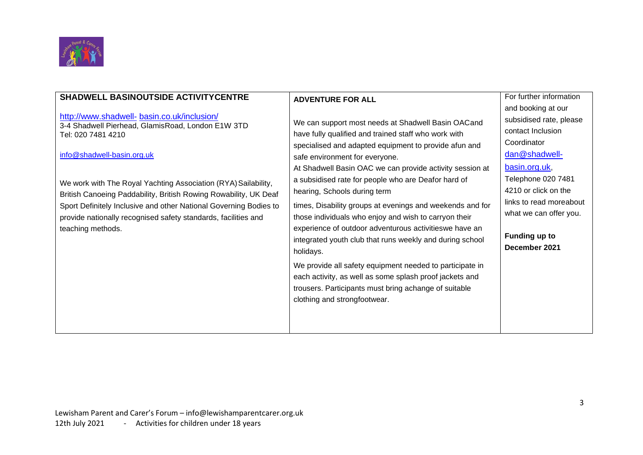

| <b>SHADWELL BASINOUTSIDE ACTIVITYCENTRE</b>                                                                                                                                                                                                                                                                                                                                                                                                            | <b>ADVENTURE FOR ALL</b>                                                                                                                                                                                                                                                                                                                                                                                                                                                                                                                                                                                                                                                                                                                                                                                                          | For further information<br>and booking at our                                                                                                                                                                                      |
|--------------------------------------------------------------------------------------------------------------------------------------------------------------------------------------------------------------------------------------------------------------------------------------------------------------------------------------------------------------------------------------------------------------------------------------------------------|-----------------------------------------------------------------------------------------------------------------------------------------------------------------------------------------------------------------------------------------------------------------------------------------------------------------------------------------------------------------------------------------------------------------------------------------------------------------------------------------------------------------------------------------------------------------------------------------------------------------------------------------------------------------------------------------------------------------------------------------------------------------------------------------------------------------------------------|------------------------------------------------------------------------------------------------------------------------------------------------------------------------------------------------------------------------------------|
| http://www.shadwell- basin.co.uk/inclusion/<br>3-4 Shadwell Pierhead, GlamisRoad, London E1W 3TD<br>Tel: 020 7481 4210<br>info@shadwell-basin.org.uk<br>We work with The Royal Yachting Association (RYA) Sailability,<br>British Canoeing Paddability, British Rowing Rowability, UK Deaf<br>Sport Definitely Inclusive and other National Governing Bodies to<br>provide nationally recognised safety standards, facilities and<br>teaching methods. | We can support most needs at Shadwell Basin OACand<br>have fully qualified and trained staff who work with<br>specialised and adapted equipment to provide afun and<br>safe environment for everyone.<br>At Shadwell Basin OAC we can provide activity session at<br>a subsidised rate for people who are Deafor hard of<br>hearing, Schools during term<br>times, Disability groups at evenings and weekends and for<br>those individuals who enjoy and wish to carryon their<br>experience of outdoor adventurous activitieswe have an<br>integrated youth club that runs weekly and during school<br>holidays.<br>We provide all safety equipment needed to participate in<br>each activity, as well as some splash proof jackets and<br>trousers. Participants must bring achange of suitable<br>clothing and strongfootwear. | subsidised rate, please<br>contact Inclusion<br>Coordinator<br>dan@shadwell-<br>basin.org.uk,<br>Telephone 020 7481<br>4210 or click on the<br>links to read moreabout<br>what we can offer you.<br>Funding up to<br>December 2021 |
|                                                                                                                                                                                                                                                                                                                                                                                                                                                        |                                                                                                                                                                                                                                                                                                                                                                                                                                                                                                                                                                                                                                                                                                                                                                                                                                   |                                                                                                                                                                                                                                    |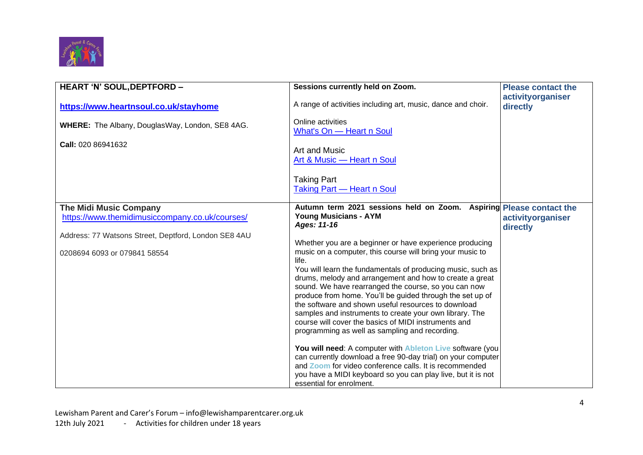

| HEART 'N' SOUL, DEPTFORD -                                                      | Sessions currently held on Zoom.                                                                                                                                                                                                                    | <b>Please contact the</b>     |
|---------------------------------------------------------------------------------|-----------------------------------------------------------------------------------------------------------------------------------------------------------------------------------------------------------------------------------------------------|-------------------------------|
| https://www.heartnsoul.co.uk/stayhome                                           | A range of activities including art, music, dance and choir.                                                                                                                                                                                        | activityorganiser<br>directly |
| WHERE: The Albany, DouglasWay, London, SE8 4AG.                                 | Online activities<br>What's On - Heart n Soul                                                                                                                                                                                                       |                               |
| <b>Call: 020 86941632</b>                                                       | Art and Music<br>Art & Music - Heart n Soul                                                                                                                                                                                                         |                               |
|                                                                                 | <b>Taking Part</b><br><b>Taking Part - Heart n Soul</b>                                                                                                                                                                                             |                               |
| <b>The Midi Music Company</b><br>https://www.themidimusiccompany.co.uk/courses/ | Autumn term 2021 sessions held on Zoom. Aspiring Please contact the<br><b>Young Musicians - AYM</b><br>Ages: 11-16                                                                                                                                  | activityorganiser<br>directly |
| Address: 77 Watsons Street, Deptford, London SE8 4AU                            |                                                                                                                                                                                                                                                     |                               |
| 0208694 6093 or 079841 58554                                                    | Whether you are a beginner or have experience producing<br>music on a computer, this course will bring your music to<br>life.                                                                                                                       |                               |
|                                                                                 | You will learn the fundamentals of producing music, such as<br>drums, melody and arrangement and how to create a great                                                                                                                              |                               |
|                                                                                 | sound. We have rearranged the course, so you can now                                                                                                                                                                                                |                               |
|                                                                                 | produce from home. You'll be guided through the set up of<br>the software and shown useful resources to download<br>samples and instruments to create your own library. The                                                                         |                               |
|                                                                                 | course will cover the basics of MIDI instruments and<br>programming as well as sampling and recording.                                                                                                                                              |                               |
|                                                                                 | You will need: A computer with Ableton Live software (you<br>can currently download a free 90-day trial) on your computer<br>and Zoom for video conference calls. It is recommended<br>you have a MIDI keyboard so you can play live, but it is not |                               |
|                                                                                 | essential for enrolment.                                                                                                                                                                                                                            |                               |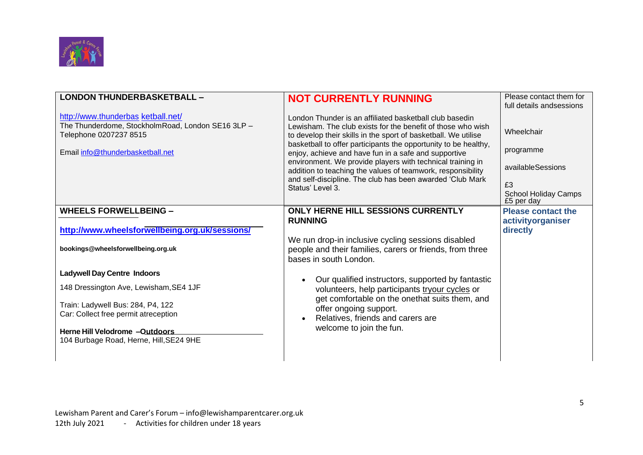

| <b>LONDON THUNDERBASKETBALL -</b>                                                                                                                     | <b>NOT CURRENTLY RUNNING</b>                                                                                                                                                                                                                                                                                                                                                                                                                                                                                                      | Please contact them for<br>full details and sessions                                            |
|-------------------------------------------------------------------------------------------------------------------------------------------------------|-----------------------------------------------------------------------------------------------------------------------------------------------------------------------------------------------------------------------------------------------------------------------------------------------------------------------------------------------------------------------------------------------------------------------------------------------------------------------------------------------------------------------------------|-------------------------------------------------------------------------------------------------|
| http://www.thunderbas.ketball.net/<br>The Thunderdome, StockholmRoad, London SE16 3LP -<br>Telephone 0207237 8515<br>Email info@thunderbasketball.net | London Thunder is an affiliated basketball club basedin<br>Lewisham. The club exists for the benefit of those who wish<br>to develop their skills in the sport of basketball. We utilise<br>basketball to offer participants the opportunity to be healthy,<br>enjoy, achieve and have fun in a safe and supportive<br>environment. We provide players with technical training in<br>addition to teaching the values of teamwork, responsibility<br>and self-discipline. The club has been awarded 'Club Mark<br>Status' Level 3. | Wheelchair<br>programme<br>availableSessions<br>£3<br><b>School Holiday Camps</b><br>£5 per day |
| <b>WHEELS FORWELLBEING -</b>                                                                                                                          | <b>ONLY HERNE HILL SESSIONS CURRENTLY</b><br><b>RUNNING</b>                                                                                                                                                                                                                                                                                                                                                                                                                                                                       | <b>Please contact the</b><br>activityorganiser                                                  |
| http://www.wheelsforwellbeing.org.uk/sessions/<br>bookings@wheelsforwellbeing.org.uk                                                                  | We run drop-in inclusive cycling sessions disabled<br>people and their families, carers or friends, from three<br>bases in south London.                                                                                                                                                                                                                                                                                                                                                                                          | directly                                                                                        |
| <b>Ladywell Day Centre Indoors</b>                                                                                                                    | Our qualified instructors, supported by fantastic                                                                                                                                                                                                                                                                                                                                                                                                                                                                                 |                                                                                                 |
| 148 Dressington Ave, Lewisham, SE4 1JF                                                                                                                | volunteers, help participants tryour cycles or<br>get comfortable on the onethat suits them, and                                                                                                                                                                                                                                                                                                                                                                                                                                  |                                                                                                 |
| Train: Ladywell Bus: 284, P4, 122<br>Car: Collect free permit atreception<br>Herne Hill Velodrome -Outdoors                                           | offer ongoing support.<br>Relatives, friends and carers are<br>welcome to join the fun.                                                                                                                                                                                                                                                                                                                                                                                                                                           |                                                                                                 |
| 104 Burbage Road, Herne, Hill, SE24 9HE                                                                                                               |                                                                                                                                                                                                                                                                                                                                                                                                                                                                                                                                   |                                                                                                 |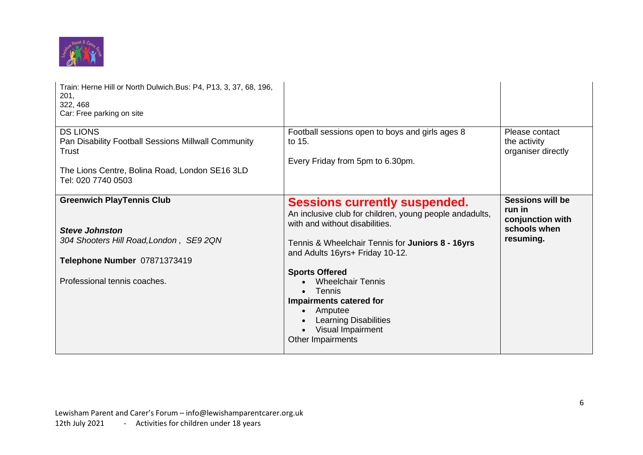

| Train: Herne Hill or North Dulwich.Bus: P4, P13, 3, 37, 68, 196,<br>201,<br>322, 468<br>Car: Free parking on site                                                    |                                                                                                                                                                                                                                                                                                                                                                                                                             |                                                                                    |
|----------------------------------------------------------------------------------------------------------------------------------------------------------------------|-----------------------------------------------------------------------------------------------------------------------------------------------------------------------------------------------------------------------------------------------------------------------------------------------------------------------------------------------------------------------------------------------------------------------------|------------------------------------------------------------------------------------|
| <b>DS LIONS</b><br>Pan Disability Football Sessions Millwall Community<br>Trust<br>The Lions Centre, Bolina Road, London SE16 3LD                                    | Football sessions open to boys and girls ages 8<br>to 15.<br>Every Friday from 5pm to 6.30pm.                                                                                                                                                                                                                                                                                                                               | Please contact<br>the activity<br>organiser directly                               |
| Tel: 020 7740 0503                                                                                                                                                   |                                                                                                                                                                                                                                                                                                                                                                                                                             |                                                                                    |
| <b>Greenwich PlayTennis Club</b><br><b>Steve Johnston</b><br>304 Shooters Hill Road, London, SE9 2QN<br>Telephone Number 07871373419<br>Professional tennis coaches. | <b>Sessions currently suspended.</b><br>An inclusive club for children, young people andadults,<br>with and without disabilities.<br>Tennis & Wheelchair Tennis for Juniors 8 - 16yrs<br>and Adults 16yrs+ Friday 10-12.<br><b>Sports Offered</b><br><b>Wheelchair Tennis</b><br><b>Tennis</b><br>Impairments catered for<br>Amputee<br>$\bullet$<br><b>Learning Disabilities</b><br>Visual Impairment<br>Other Impairments | <b>Sessions will be</b><br>run in<br>conjunction with<br>schools when<br>resuming. |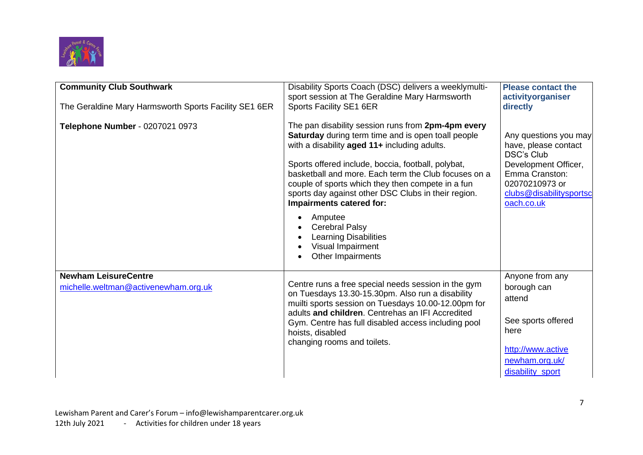

| <b>Community Club Southwark</b><br>The Geraldine Mary Harmsworth Sports Facility SE1 6ER | Disability Sports Coach (DSC) delivers a weeklymulti-<br>sport session at The Geraldine Mary Harmsworth<br><b>Sports Facility SE1 6ER</b>                                                                                                                                                                                                                                                                                                                                                                                           | <b>Please contact the</b><br>activityorganiser<br>directly                                                                                                              |
|------------------------------------------------------------------------------------------|-------------------------------------------------------------------------------------------------------------------------------------------------------------------------------------------------------------------------------------------------------------------------------------------------------------------------------------------------------------------------------------------------------------------------------------------------------------------------------------------------------------------------------------|-------------------------------------------------------------------------------------------------------------------------------------------------------------------------|
| Telephone Number - 0207021 0973                                                          | The pan disability session runs from 2pm-4pm every<br><b>Saturday</b> during term time and is open toall people<br>with a disability aged 11+ including adults.<br>Sports offered include, boccia, football, polybat,<br>basketball and more. Each term the Club focuses on a<br>couple of sports which they then compete in a fun<br>sports day against other DSC Clubs in their region.<br>Impairments catered for:<br>Amputee<br><b>Cerebral Palsy</b><br><b>Learning Disabilities</b><br>Visual Impairment<br>Other Impairments | Any questions you may<br>have, please contact<br><b>DSC's Club</b><br>Development Officer,<br>Emma Cranston:<br>02070210973 or<br>clubs@disabilitysportsc<br>oach.co.uk |
| <b>Newham LeisureCentre</b><br>michelle.weltman@activenewham.org.uk                      | Centre runs a free special needs session in the gym<br>on Tuesdays 13.30-15.30pm. Also run a disability<br>muilti sports session on Tuesdays 10.00-12.00pm for<br>adults and children. Centrehas an IFI Accredited<br>Gym. Centre has full disabled access including pool<br>hoists, disabled<br>changing rooms and toilets.                                                                                                                                                                                                        | Anyone from any<br>borough can<br>attend<br>See sports offered<br>here<br>http://www.active<br>newham.org.uk/<br>disability_sport                                       |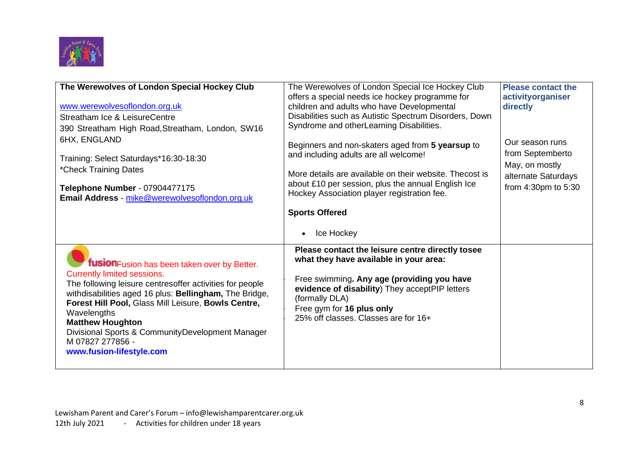

| The Werewolves of London Special Hockey Club<br>www.werewolvesoflondon.org.uk<br>Streatham Ice & LeisureCentre<br>390 Streatham High Road, Streatham, London, SW16<br>6HX, ENGLAND<br>Training: Select Saturdays*16:30-18:30<br>*Check Training Dates<br>Telephone Number - 07904477175<br>Email Address - mike@werewolvesoflondon.org.uk                                                                     | The Werewolves of London Special Ice Hockey Club<br>offers a special needs ice hockey programme for<br>children and adults who have Developmental<br>Disabilities such as Autistic Spectrum Disorders, Down<br>Syndrome and otherLearning Disabilities.<br>Beginners and non-skaters aged from 5 yearsup to<br>and including adults are all welcome!<br>More details are available on their website. Thecost is<br>about £10 per session, plus the annual English Ice<br>Hockey Association player registration fee.<br><b>Sports Offered</b> | <b>Please contact the</b><br>activityorganiser<br>directly<br>Our season runs<br>from Septemberto<br>May, on mostly<br>alternate Saturdays<br>from 4:30pm to 5:30 |
|---------------------------------------------------------------------------------------------------------------------------------------------------------------------------------------------------------------------------------------------------------------------------------------------------------------------------------------------------------------------------------------------------------------|-----------------------------------------------------------------------------------------------------------------------------------------------------------------------------------------------------------------------------------------------------------------------------------------------------------------------------------------------------------------------------------------------------------------------------------------------------------------------------------------------------------------------------------------------|-------------------------------------------------------------------------------------------------------------------------------------------------------------------|
| fusion Fusion has been taken over by Better.<br><b>Currently limited sessions.</b><br>The following leisure centresoffer activities for people<br>withdisabilities aged 16 plus: Bellingham, The Bridge,<br>Forest Hill Pool, Glass Mill Leisure, Bowls Centre,<br>Wavelengths<br><b>Matthew Houghton</b><br>Divisional Sports & CommunityDevelopment Manager<br>M 07827 277856 -<br>www.fusion-lifestyle.com | Ice Hockey<br>$\bullet$<br>Please contact the leisure centre directly tosee<br>what they have available in your area:<br>Free swimming. Any age (providing you have<br>evidence of disability) They acceptPIP letters<br>(formally DLA)<br>Free gym for 16 plus only<br>25% off classes. Classes are for 16+                                                                                                                                                                                                                                  |                                                                                                                                                                   |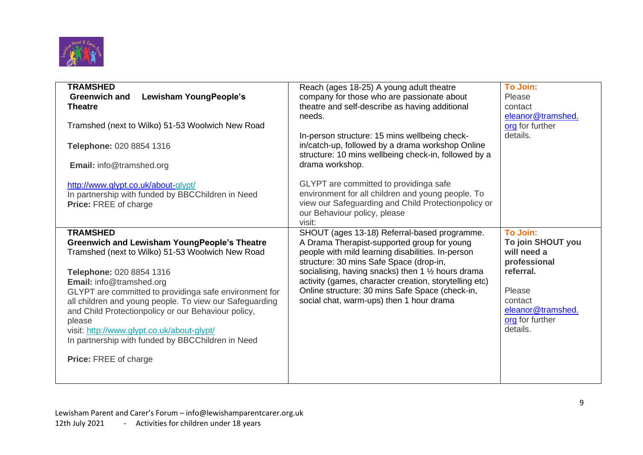

| <b>TRAMSHED</b><br>To Join:<br>Reach (ages 18-25) A young adult theatre<br>Lewisham YoungPeople's<br>company for those who are passionate about<br><b>Greenwich and</b><br>Please<br>theatre and self-describe as having additional<br><b>Theatre</b><br>contact<br>eleanor@tramshed.<br>needs.<br>Tramshed (next to Wilko) 51-53 Woolwich New Road<br>org for further<br>details.<br>In-person structure: 15 mins wellbeing check-<br>in/catch-up, followed by a drama workshop Online<br>Telephone: 020 8854 1316<br>structure: 10 mins wellbeing check-in, followed by a<br>drama workshop.<br><b>Email:</b> info@tramshed.org<br>GLYPT are committed to providing as a fe<br>http://www.glypt.co.uk/about-glypt/<br>environment for all children and young people. To<br>In partnership with funded by BBCChildren in Need<br>view our Safeguarding and Child Protectionpolicy or<br><b>Price: FREE of charge</b><br>our Behaviour policy, please<br>visit:<br><b>To Join:</b><br><b>TRAMSHED</b><br>SHOUT (ages 13-18) Referral-based programme.<br><b>Greenwich and Lewisham YoungPeople's Theatre</b><br>A Drama Therapist-supported group for young<br>To join SHOUT you<br>people with mild learning disabilities. In-person<br>will need a<br>Tramshed (next to Wilko) 51-53 Woolwich New Road<br>structure: 30 mins Safe Space (drop-in,<br>professional<br>socialising, having snacks) then 1 $\frac{1}{2}$ hours drama<br>referral.<br>Telephone: 020 8854 1316<br>activity (games, character creation, storytelling etc)<br>Email: info@tramshed.org<br>Online structure: 30 mins Safe Space (check-in,<br>Please<br>GLYPT are committed to providinga safe environment for<br>social chat, warm-ups) then 1 hour drama<br>contact<br>all children and young people. To view our Safeguarding<br>eleanor@tramshed.<br>and Child Protectionpolicy or our Behaviour policy,<br>org for further<br>please<br>details.<br>visit: http://www.glypt.co.uk/about-glypt/<br>In partnership with funded by BBCChildren in Need<br><b>Price: FREE of charge</b> |  |  |
|---------------------------------------------------------------------------------------------------------------------------------------------------------------------------------------------------------------------------------------------------------------------------------------------------------------------------------------------------------------------------------------------------------------------------------------------------------------------------------------------------------------------------------------------------------------------------------------------------------------------------------------------------------------------------------------------------------------------------------------------------------------------------------------------------------------------------------------------------------------------------------------------------------------------------------------------------------------------------------------------------------------------------------------------------------------------------------------------------------------------------------------------------------------------------------------------------------------------------------------------------------------------------------------------------------------------------------------------------------------------------------------------------------------------------------------------------------------------------------------------------------------------------------------------------------------------------------------------------------------------------------------------------------------------------------------------------------------------------------------------------------------------------------------------------------------------------------------------------------------------------------------------------------------------------------------------------------------------------------------------------------------------------------------------------------------------|--|--|
|                                                                                                                                                                                                                                                                                                                                                                                                                                                                                                                                                                                                                                                                                                                                                                                                                                                                                                                                                                                                                                                                                                                                                                                                                                                                                                                                                                                                                                                                                                                                                                                                                                                                                                                                                                                                                                                                                                                                                                                                                                                                     |  |  |
|                                                                                                                                                                                                                                                                                                                                                                                                                                                                                                                                                                                                                                                                                                                                                                                                                                                                                                                                                                                                                                                                                                                                                                                                                                                                                                                                                                                                                                                                                                                                                                                                                                                                                                                                                                                                                                                                                                                                                                                                                                                                     |  |  |
|                                                                                                                                                                                                                                                                                                                                                                                                                                                                                                                                                                                                                                                                                                                                                                                                                                                                                                                                                                                                                                                                                                                                                                                                                                                                                                                                                                                                                                                                                                                                                                                                                                                                                                                                                                                                                                                                                                                                                                                                                                                                     |  |  |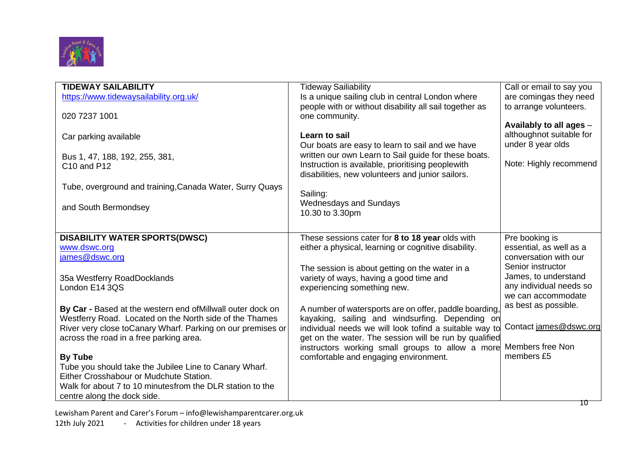

| <b>TIDEWAY SAILABILITY</b>                                   | <b>Tideway Sailiability</b>                            | Call or email to say you |
|--------------------------------------------------------------|--------------------------------------------------------|--------------------------|
| https://www.tidewaysailability.org.uk/                       | Is a unique sailing club in central London where       | are comingas they need   |
|                                                              | people with or without disability all sail together as | to arrange volunteers.   |
| 020 7237 1001                                                | one community.                                         |                          |
|                                                              |                                                        | Availably to all ages -  |
| Car parking available                                        | Learn to sail                                          | althoughnot suitable for |
|                                                              | Our boats are easy to learn to sail and we have        | under 8 year olds        |
|                                                              | written our own Learn to Sail guide for these boats.   |                          |
| Bus 1, 47, 188, 192, 255, 381,                               | Instruction is available, prioritising peoplewith      | Note: Highly recommend   |
| C10 and P12                                                  |                                                        |                          |
|                                                              | disabilities, new volunteers and junior sailors.       |                          |
| Tube, overground and training, Canada Water, Surry Quays     |                                                        |                          |
|                                                              | Sailing:                                               |                          |
| and South Bermondsey                                         | <b>Wednesdays and Sundays</b>                          |                          |
|                                                              | 10.30 to 3.30pm                                        |                          |
|                                                              |                                                        |                          |
| <b>DISABILITY WATER SPORTS(DWSC)</b>                         | These sessions cater for 8 to 18 year olds with        | Pre booking is           |
| www.dswc.org                                                 | either a physical, learning or cognitive disability.   | essential, as well as a  |
| james@dswc.org                                               |                                                        | conversation with our    |
|                                                              | The session is about getting on the water in a         | Senior instructor        |
| 35a Westferry RoadDocklands                                  | variety of ways, having a good time and                | James, to understand     |
| London E14 3QS                                               |                                                        | any individual needs so  |
|                                                              | experiencing something new.                            | we can accommodate       |
|                                                              |                                                        | as best as possible.     |
| By Car - Based at the western end of Millwall outer dock on  | A number of watersports are on offer, paddle boarding, |                          |
| Westferry Road. Located on the North side of the Thames      | kayaking, sailing and windsurfing. Depending on        |                          |
| River very close to Canary Wharf. Parking on our premises or | individual needs we will look tofind a suitable way to | Contact james@dswc.org   |
| across the road in a free parking area.                      | get on the water. The session will be run by qualified |                          |
|                                                              | instructors working small groups to allow a more       | Members free Non         |
| <b>By Tube</b>                                               | comfortable and engaging environment.                  | members £5               |
| Tube you should take the Jubilee Line to Canary Wharf.       |                                                        |                          |
| Either Crosshabour or Mudchute Station.                      |                                                        |                          |
| Walk for about 7 to 10 minutesfrom the DLR station to the    |                                                        |                          |
| centre along the dock side.                                  |                                                        |                          |

Lewisham Parent and Carer's Forum – [info@lewishamparentcarer.org.uk](mailto:info@lewishamparentcarer.org.uk)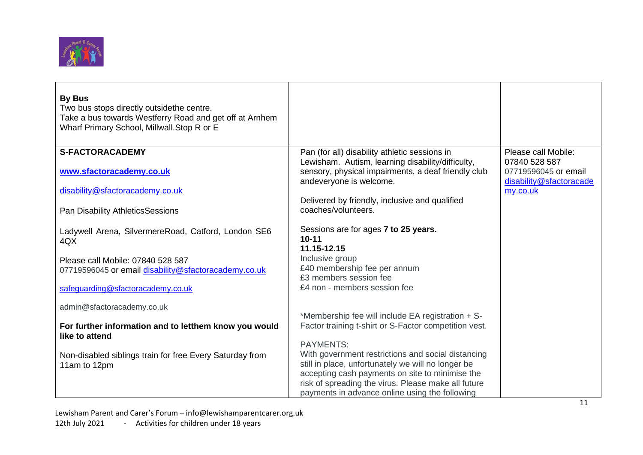

| <b>By Bus</b><br>Two bus stops directly outsidethe centre.<br>Take a bus towards Westferry Road and get off at Arnhem<br>Wharf Primary School, Millwall. Stop R or E |                                                                                                            |                                                 |
|----------------------------------------------------------------------------------------------------------------------------------------------------------------------|------------------------------------------------------------------------------------------------------------|-------------------------------------------------|
| <b>S-FACTORACADEMY</b>                                                                                                                                               | Pan (for all) disability athletic sessions in<br>Lewisham. Autism, learning disability/difficulty,         | Please call Mobile:<br>07840 528 587            |
| www.sfactoracademy.co.uk                                                                                                                                             | sensory, physical impairments, a deaf friendly club<br>andeveryone is welcome.                             | 07719596045 or email<br>disability@sfactoracade |
| disability@sfactoracademy.co.uk                                                                                                                                      |                                                                                                            | my.co.uk                                        |
| Pan Disability AthleticsSessions                                                                                                                                     | Delivered by friendly, inclusive and qualified<br>coaches/volunteers.                                      |                                                 |
| Ladywell Arena, SilvermereRoad, Catford, London SE6<br>4QX                                                                                                           | Sessions are for ages 7 to 25 years.<br>$10 - 11$                                                          |                                                 |
|                                                                                                                                                                      | 11.15-12.15                                                                                                |                                                 |
| Please call Mobile: 07840 528 587<br>07719596045 or email disability@sfactoracademy.co.uk                                                                            | Inclusive group<br>£40 membership fee per annum                                                            |                                                 |
|                                                                                                                                                                      | £3 members session fee                                                                                     |                                                 |
| safeguarding@sfactoracademy.co.uk                                                                                                                                    | £4 non - members session fee                                                                               |                                                 |
| admin@sfactoracademy.co.uk                                                                                                                                           |                                                                                                            |                                                 |
| For further information and to letthem know you would                                                                                                                | *Membership fee will include EA registration + S-<br>Factor training t-shirt or S-Factor competition vest. |                                                 |
| like to attend                                                                                                                                                       |                                                                                                            |                                                 |
| Non-disabled siblings train for free Every Saturday from                                                                                                             | <b>PAYMENTS:</b><br>With government restrictions and social distancing                                     |                                                 |
| 11am to 12pm                                                                                                                                                         | still in place, unfortunately we will no longer be                                                         |                                                 |
|                                                                                                                                                                      | accepting cash payments on site to minimise the                                                            |                                                 |
|                                                                                                                                                                      | risk of spreading the virus. Please make all future<br>payments in advance online using the following      |                                                 |

Lewisham Parent and Carer's Forum – [info@lewishamparentcarer.org.uk](mailto:info@lewishamparentcarer.org.uk) 12th July 2021 - Activities for children under 18 years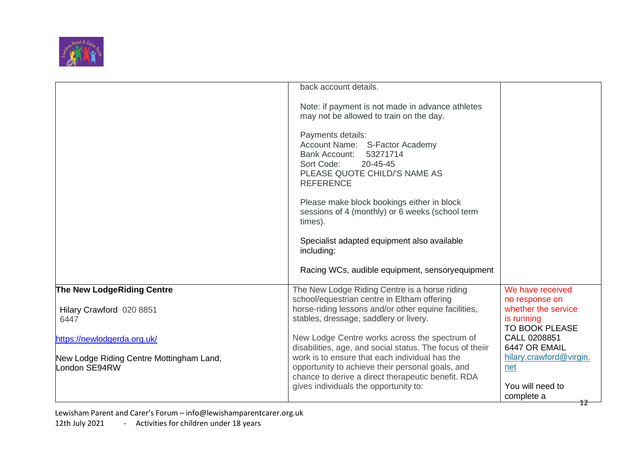

|                                                           | back account details.                                                                                                                                                  |                                                            |
|-----------------------------------------------------------|------------------------------------------------------------------------------------------------------------------------------------------------------------------------|------------------------------------------------------------|
|                                                           | Note: if payment is not made in advance athletes<br>may not be allowed to train on the day.                                                                            |                                                            |
|                                                           | Payments details:<br>Account Name: S-Factor Academy<br><b>Bank Account:</b><br>53271714<br>Sort Code:<br>20-45-45<br>PLEASE QUOTE CHILD/'S NAME AS<br><b>REFERENCE</b> |                                                            |
|                                                           | Please make block bookings either in block<br>sessions of 4 (monthly) or 6 weeks (school term<br>times).                                                               |                                                            |
|                                                           | Specialist adapted equipment also available<br>including:                                                                                                              |                                                            |
|                                                           | Racing WCs, audible equipment, sensory equipment                                                                                                                       |                                                            |
| The New LodgeRiding Centre                                | The New Lodge Riding Centre is a horse riding<br>school/equestrian centre in Eltham offering                                                                           | We have received<br>no response on                         |
| Hilary Crawford 020 8851<br>6447                          | horse-riding lessons and/or other equine facilities,<br>stables, dressage, saddlery or livery.                                                                         | whether the service<br>is running<br><b>TO BOOK PLEASE</b> |
| https://newlodgerda.org.uk/                               | New Lodge Centre works across the spectrum of<br>disabilities, age, and social status. The focus of theiir                                                             | CALL 0208851<br>6447 OR EMAIL                              |
| New Lodge Riding Centre Mottingham Land,<br>London SE94RW | work is to ensure that each individual has the<br>opportunity to achieve their personal goals, and<br>chance to derive a direct therapeutic benefit. RDA               | hilary.crawford@virgin.<br>net                             |
|                                                           | gives individuals the opportunity to:                                                                                                                                  | You will need to<br>complete a<br>12                       |

Lewisham Parent and Carer's Forum – [info@lewishamparentcarer.org.uk](mailto:info@lewishamparentcarer.org.uk)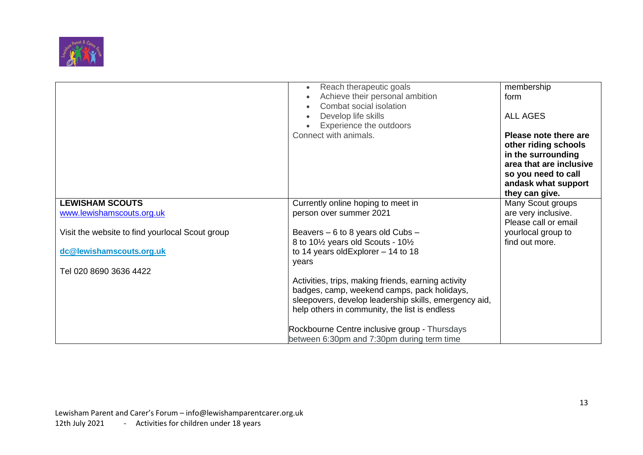

|                                                 | Reach therapeutic goals<br>$\bullet$                                                  | membership              |
|-------------------------------------------------|---------------------------------------------------------------------------------------|-------------------------|
|                                                 | Achieve their personal ambition                                                       | form                    |
|                                                 | Combat social isolation                                                               |                         |
|                                                 | Develop life skills<br>$\bullet$                                                      | <b>ALL AGES</b>         |
|                                                 | Experience the outdoors                                                               |                         |
|                                                 | Connect with animals.                                                                 | Please note there are   |
|                                                 |                                                                                       | other riding schools    |
|                                                 |                                                                                       | in the surrounding      |
|                                                 |                                                                                       | area that are inclusive |
|                                                 |                                                                                       | so you need to call     |
|                                                 |                                                                                       | andask what support     |
|                                                 |                                                                                       | they can give.          |
| <b>LEWISHAM SCOUTS</b>                          | Currently online hoping to meet in                                                    | Many Scout groups       |
| www.lewishamscouts.org.uk                       | person over summer 2021                                                               | are very inclusive.     |
|                                                 |                                                                                       | Please call or email    |
| Visit the website to find yourlocal Scout group | Beavers $-6$ to 8 years old Cubs $-$                                                  | yourlocal group to      |
|                                                 | 8 to 10 <sup>1</sup> / <sub>2</sub> years old Scouts - 10 <sup>1</sup> / <sub>2</sub> | find out more.          |
| dc@lewishamscouts.org.uk                        | to 14 years old Explorer $-14$ to 18                                                  |                         |
|                                                 | years                                                                                 |                         |
| Tel 020 8690 3636 4422                          |                                                                                       |                         |
|                                                 | Activities, trips, making friends, earning activity                                   |                         |
|                                                 | badges, camp, weekend camps, pack holidays,                                           |                         |
|                                                 | sleepovers, develop leadership skills, emergency aid,                                 |                         |
|                                                 | help others in community, the list is endless                                         |                         |
|                                                 |                                                                                       |                         |
|                                                 | Rockbourne Centre inclusive group - Thursdays                                         |                         |
|                                                 | between 6:30pm and 7:30pm during term time                                            |                         |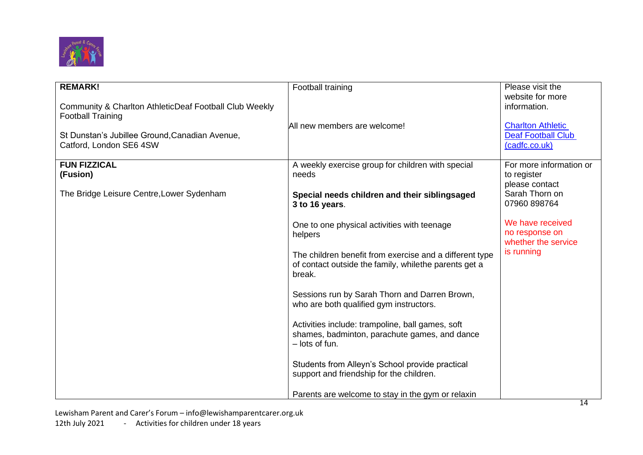

| <b>REMARK!</b><br>Community & Charlton AthleticDeaf Football Club Weekly<br><b>Football Training</b><br>St Dunstan's Jubillee Ground, Canadian Avenue,<br>Catford, London SE6 4SW | Football training<br>All new members are welcome!                                                                                                                                                                                                                                                                                                                                                                                                                                                                                                                                                                                                                                               | Please visit the<br>website for more<br>information.<br><b>Charlton Athletic</b><br><b>Deaf Football Club</b><br>(cadfc.co.uk)                                        |
|-----------------------------------------------------------------------------------------------------------------------------------------------------------------------------------|-------------------------------------------------------------------------------------------------------------------------------------------------------------------------------------------------------------------------------------------------------------------------------------------------------------------------------------------------------------------------------------------------------------------------------------------------------------------------------------------------------------------------------------------------------------------------------------------------------------------------------------------------------------------------------------------------|-----------------------------------------------------------------------------------------------------------------------------------------------------------------------|
| <b>FUN FIZZICAL</b><br>(Fusion)<br>The Bridge Leisure Centre, Lower Sydenham                                                                                                      | A weekly exercise group for children with special<br>needs<br>Special needs children and their siblingsaged<br>3 to 16 years.<br>One to one physical activities with teenage<br>helpers<br>The children benefit from exercise and a different type<br>of contact outside the family, while the parents get a<br>break.<br>Sessions run by Sarah Thorn and Darren Brown,<br>who are both qualified gym instructors.<br>Activities include: trampoline, ball games, soft<br>shames, badminton, parachute games, and dance<br>$-$ lots of fun.<br>Students from Alleyn's School provide practical<br>support and friendship for the children.<br>Parents are welcome to stay in the gym or relaxin | For more information or<br>to register<br>please contact<br>Sarah Thorn on<br>07960 898764<br>We have received<br>no response on<br>whether the service<br>is running |

Lewisham Parent and Carer's Forum – [info@lewishamparentcarer.org.uk](mailto:info@lewishamparentcarer.org.uk) 12th July 2021 - Activities for children under 18 years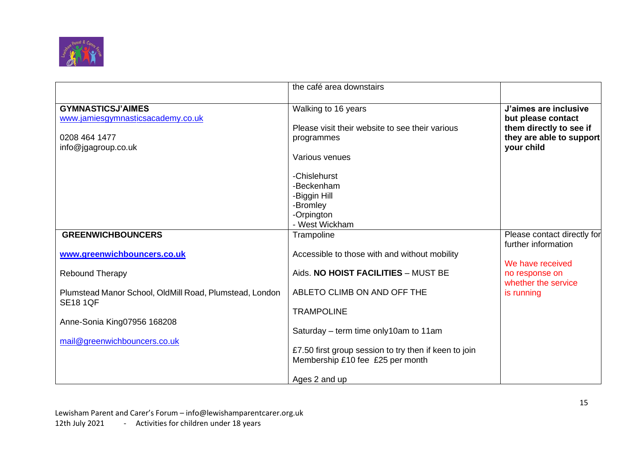

|                                                                                                       | the café area downstairs                                                                  |                                                                                                                  |
|-------------------------------------------------------------------------------------------------------|-------------------------------------------------------------------------------------------|------------------------------------------------------------------------------------------------------------------|
| <b>GYMNASTICSJ'AIMES</b><br>www.jamiesgymnasticsacademy.co.uk<br>0208 464 1477<br>info@jgagroup.co.uk | Walking to 16 years<br>Please visit their website to see their various<br>programmes      | J'aimes are inclusive<br>but please contact<br>them directly to see if<br>they are able to support<br>your child |
|                                                                                                       | Various venues                                                                            |                                                                                                                  |
|                                                                                                       | -Chislehurst<br>-Beckenham<br>-Biggin Hill                                                |                                                                                                                  |
|                                                                                                       | -Bromley<br>-Orpington                                                                    |                                                                                                                  |
|                                                                                                       | - West Wickham                                                                            |                                                                                                                  |
| <b>GREENWICHBOUNCERS</b>                                                                              | Trampoline                                                                                | Please contact directly for<br>further information                                                               |
| www.greenwichbouncers.co.uk                                                                           | Accessible to those with and without mobility                                             | We have received                                                                                                 |
| <b>Rebound Therapy</b>                                                                                | Aids. NO HOIST FACILITIES - MUST BE                                                       | no response on<br>whether the service                                                                            |
| Plumstead Manor School, OldMill Road, Plumstead, London<br><b>SE18 1QF</b>                            | ABLETO CLIMB ON AND OFF THE                                                               | is running                                                                                                       |
| Anne-Sonia King07956 168208                                                                           | <b>TRAMPOLINE</b>                                                                         |                                                                                                                  |
|                                                                                                       | Saturday – term time only 10am to 11am                                                    |                                                                                                                  |
| mail@greenwichbouncers.co.uk                                                                          | £7.50 first group session to try then if keen to join<br>Membership £10 fee £25 per month |                                                                                                                  |
|                                                                                                       | Ages 2 and up                                                                             |                                                                                                                  |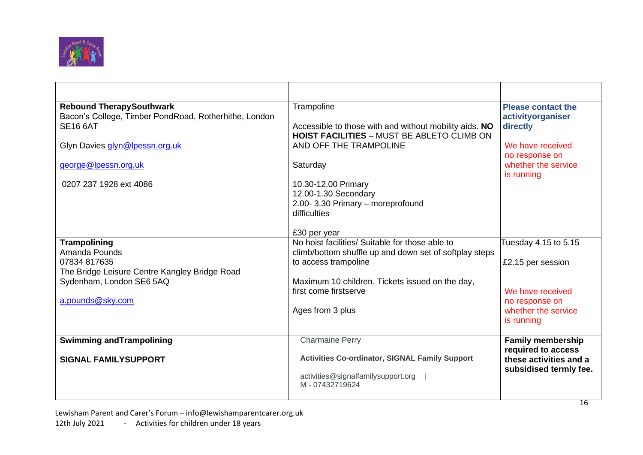

| <b>Rebound TherapySouthwark</b>                       | Trampoline                                             | <b>Please contact the</b> |
|-------------------------------------------------------|--------------------------------------------------------|---------------------------|
| Bacon's College, Timber PondRoad, Rotherhithe, London |                                                        | activityorganiser         |
| <b>SE16 6AT</b>                                       | Accessible to those with and without mobility aids. NO | directly                  |
|                                                       | <b>HOIST FACILITIES - MUST BE ABLETO CLIMB ON</b>      |                           |
| Glyn Davies glyn@lpessn.org.uk                        | AND OFF THE TRAMPOLINE                                 | We have received          |
|                                                       |                                                        | no response on            |
| george@lpessn.org.uk                                  | Saturday                                               | whether the service       |
|                                                       |                                                        | is running                |
| 0207 237 1928 ext 4086                                | 10.30-12.00 Primary                                    |                           |
|                                                       | 12.00-1.30 Secondary                                   |                           |
|                                                       | 2.00-3.30 Primary - moreprofound                       |                           |
|                                                       | difficulties                                           |                           |
|                                                       | £30 per year                                           |                           |
| Trampolining                                          | No hoist facilities/ Suitable for those able to        | Tuesday 4.15 to 5.15      |
| Amanda Pounds                                         | climb/bottom shuffle up and down set of softplay steps |                           |
| 07834 817635                                          | to access trampoline                                   | £2.15 per session         |
| The Bridge Leisure Centre Kangley Bridge Road         |                                                        |                           |
| Sydenham, London SE6 5AQ                              | Maximum 10 children. Tickets issued on the day,        |                           |
|                                                       | first come firstserve                                  | We have received          |
| a.pounds@sky.com                                      |                                                        | no response on            |
|                                                       | Ages from 3 plus                                       | whether the service       |
|                                                       |                                                        | is running                |
| <b>Swimming and Trampolining</b>                      | <b>Charmaine Perry</b>                                 | <b>Family membership</b>  |
|                                                       |                                                        | required to access        |
| <b>SIGNAL FAMILYSUPPORT</b>                           | <b>Activities Co-ordinator, SIGNAL Family Support</b>  | these activities and a    |
|                                                       |                                                        | subsidised termly fee.    |
|                                                       | activities@signalfamilysupport.org                     |                           |
|                                                       | M-07432719624                                          |                           |
|                                                       |                                                        |                           |

Lewisham Parent and Carer's Forum – [info@lewishamparentcarer.org.uk](mailto:info@lewishamparentcarer.org.uk) 12th July 2021 - Activities for children under 18 years